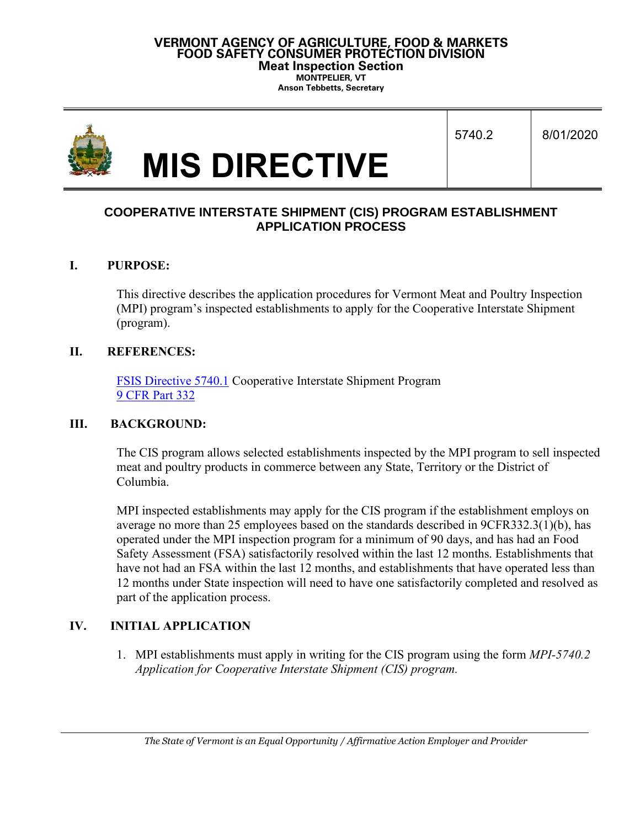#### **VERMONT AGENCY OF AGRICULTURE, FOOD & MARKETS FOOD SAFETY CONSUMER PROTECTION DIVISION Meat Inspection Section MONTPELIER, VT**

**Anson Tebbetts, Secretary**

|  |                      | 5740.2 | 8/01/2020 |
|--|----------------------|--------|-----------|
|  | <b>MIS DIRECTIVE</b> |        |           |

# **COOPERATIVE INTERSTATE SHIPMENT (CIS) PROGRAM ESTABLISHMENT APPLICATION PROCESS**

### **I. PURPOSE:**

This directive describes the application procedures for Vermont Meat and Poultry Inspection (MPI) program's inspected establishments to apply for the Cooperative Interstate Shipment (program).

#### **II. REFERENCES:**

[FSIS Directive 5740.1](https://www.fsis.usda.gov/wps/wcm/connect/0b8c636e-874a-41b7-83c9-4a2fc2bc12db/5740.1.pdf?MOD=AJPERES) Cooperative Interstate Shipment Program [9 CFR Part 332](https://ecfr.io/Title-09/cfr332_main)

### **III. BACKGROUND:**

The CIS program allows selected establishments inspected by the MPI program to sell inspected meat and poultry products in commerce between any State, Territory or the District of Columbia.

MPI inspected establishments may apply for the CIS program if the establishment employs on average no more than 25 employees based on the standards described in 9CFR332.3(1)(b), has operated under the MPI inspection program for a minimum of 90 days, and has had an Food Safety Assessment (FSA) satisfactorily resolved within the last 12 months. Establishments that have not had an FSA within the last 12 months, and establishments that have operated less than 12 months under State inspection will need to have one satisfactorily completed and resolved as part of the application process.

### **IV. INITIAL APPLICATION**

1. MPI establishments must apply in writing for the CIS program using the form *MPI-5740.2 Application for Cooperative Interstate Shipment (CIS) program.*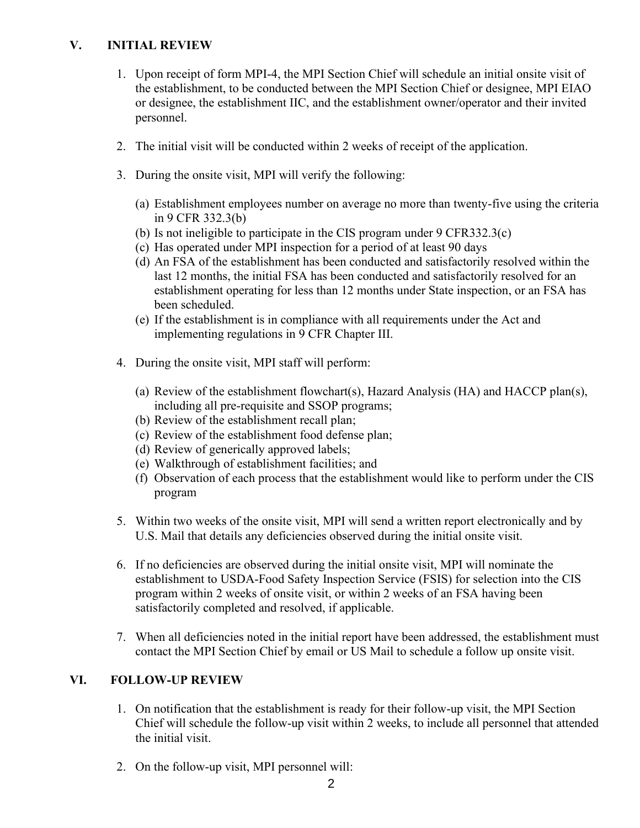# **V. INITIAL REVIEW**

- 1. Upon receipt of form MPI-4, the MPI Section Chief will schedule an initial onsite visit of the establishment, to be conducted between the MPI Section Chief or designee, MPI EIAO or designee, the establishment IIC, and the establishment owner/operator and their invited personnel.
- 2. The initial visit will be conducted within 2 weeks of receipt of the application.
- 3. During the onsite visit, MPI will verify the following:
	- (a) Establishment employees number on average no more than twenty-five using the criteria in 9 CFR 332.3(b)
	- (b) Is not ineligible to participate in the CIS program under 9 CFR332.3(c)
	- (c) Has operated under MPI inspection for a period of at least 90 days
	- (d) An FSA of the establishment has been conducted and satisfactorily resolved within the last 12 months, the initial FSA has been conducted and satisfactorily resolved for an establishment operating for less than 12 months under State inspection, or an FSA has been scheduled.
	- (e) If the establishment is in compliance with all requirements under the Act and implementing regulations in 9 CFR Chapter III.
- 4. During the onsite visit, MPI staff will perform:
	- (a) Review of the establishment flowchart(s), Hazard Analysis (HA) and HACCP plan(s), including all pre-requisite and SSOP programs;
	- (b) Review of the establishment recall plan;
	- (c) Review of the establishment food defense plan;
	- (d) Review of generically approved labels;
	- (e) Walkthrough of establishment facilities; and
	- (f) Observation of each process that the establishment would like to perform under the CIS program
- 5. Within two weeks of the onsite visit, MPI will send a written report electronically and by U.S. Mail that details any deficiencies observed during the initial onsite visit.
- 6. If no deficiencies are observed during the initial onsite visit, MPI will nominate the establishment to USDA-Food Safety Inspection Service (FSIS) for selection into the CIS program within 2 weeks of onsite visit, or within 2 weeks of an FSA having been satisfactorily completed and resolved, if applicable.
- 7. When all deficiencies noted in the initial report have been addressed, the establishment must contact the MPI Section Chief by email or US Mail to schedule a follow up onsite visit.

# **VI. FOLLOW-UP REVIEW**

- 1. On notification that the establishment is ready for their follow-up visit, the MPI Section Chief will schedule the follow-up visit within 2 weeks, to include all personnel that attended the initial visit.
- 2. On the follow-up visit, MPI personnel will: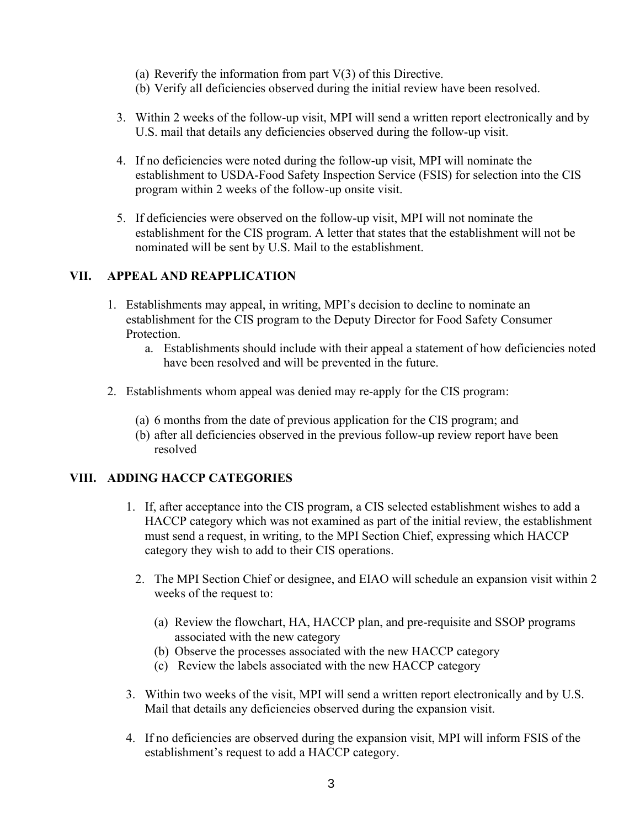- (a) Reverify the information from part  $V(3)$  of this Directive.
- (b) Verify all deficiencies observed during the initial review have been resolved.
- 3. Within 2 weeks of the follow-up visit, MPI will send a written report electronically and by U.S. mail that details any deficiencies observed during the follow-up visit.
- 4. If no deficiencies were noted during the follow-up visit, MPI will nominate the establishment to USDA-Food Safety Inspection Service (FSIS) for selection into the CIS program within 2 weeks of the follow-up onsite visit.
- 5. If deficiencies were observed on the follow-up visit, MPI will not nominate the establishment for the CIS program. A letter that states that the establishment will not be nominated will be sent by U.S. Mail to the establishment.

### **VII. APPEAL AND REAPPLICATION**

- 1. Establishments may appeal, in writing, MPI's decision to decline to nominate an establishment for the CIS program to the Deputy Director for Food Safety Consumer Protection.
	- a. Establishments should include with their appeal a statement of how deficiencies noted have been resolved and will be prevented in the future.
- 2. Establishments whom appeal was denied may re-apply for the CIS program:
	- (a) 6 months from the date of previous application for the CIS program; and
	- (b) after all deficiencies observed in the previous follow-up review report have been resolved

# **VIII. ADDING HACCP CATEGORIES**

- 1. If, after acceptance into the CIS program, a CIS selected establishment wishes to add a HACCP category which was not examined as part of the initial review, the establishment must send a request, in writing, to the MPI Section Chief, expressing which HACCP category they wish to add to their CIS operations.
	- 2. The MPI Section Chief or designee, and EIAO will schedule an expansion visit within 2 weeks of the request to:
		- (a) Review the flowchart, HA, HACCP plan, and pre-requisite and SSOP programs associated with the new category
		- (b) Observe the processes associated with the new HACCP category
		- (c) Review the labels associated with the new HACCP category
- 3. Within two weeks of the visit, MPI will send a written report electronically and by U.S. Mail that details any deficiencies observed during the expansion visit.
- 4. If no deficiencies are observed during the expansion visit, MPI will inform FSIS of the establishment's request to add a HACCP category.